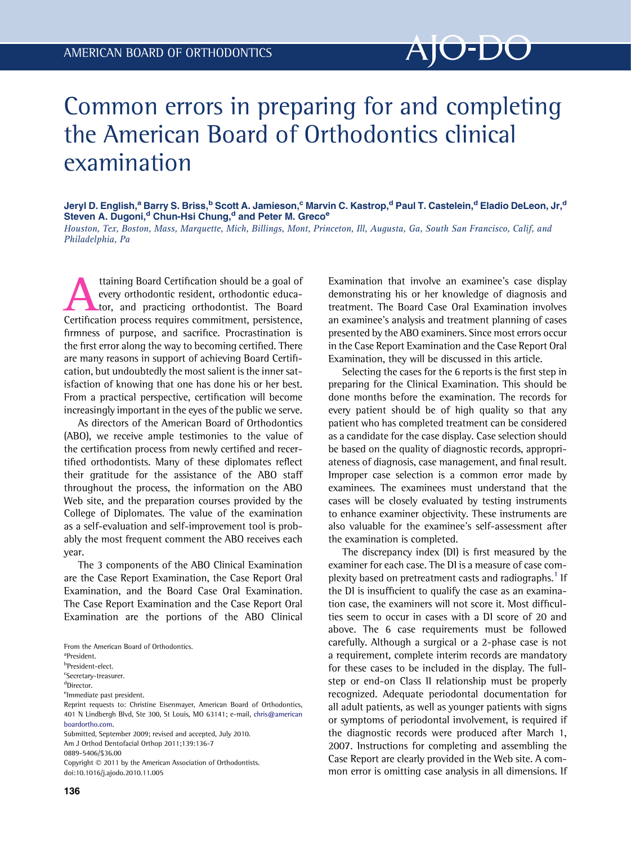## Common errors in preparing for and completing the American Board of Orthodontics clinical examination

Jeryl D. English,<sup>a</sup> Barry S. Briss,<sup>b</sup> Scott A. Jamieson,<sup>c</sup> Marvin C. Kastrop,<sup>d</sup> Paul T. Castelein,<sup>d</sup> Eladio DeLeon, Jr,<sup>d</sup> Steven A. Dugoni,<sup>d</sup> Chun-Hsi Chung,<sup>d</sup> and Peter M. Greco<sup>e</sup>

Houston, Tex, Boston, Mass, Marquette, Mich, Billings, Mont, Princeton, Ill, Augusta, Ga, South San Francisco, Calif, and Philadelphia, Pa

Attaining Board Certification should be a goal of<br>
every orthodontic resident, orthodontic educa-<br>
Certification process requires commitment, persistence, every orthodontic resident, orthodontic educator, and practicing orthodontist. The Board firmness of purpose, and sacrifice. Procrastination is the first error along the way to becoming certified. There are many reasons in support of achieving Board Certification, but undoubtedly the most salient is the inner satisfaction of knowing that one has done his or her best. From a practical perspective, certification will become increasingly important in the eyes of the public we serve.

As directors of the American Board of Orthodontics (ABO), we receive ample testimonies to the value of the certification process from newly certified and recertified orthodontists. Many of these diplomates reflect their gratitude for the assistance of the ABO staff throughout the process, the information on the ABO Web site, and the preparation courses provided by the College of Diplomates. The value of the examination as a self-evaluation and self-improvement tool is probably the most frequent comment the ABO receives each year.

The 3 components of the ABO Clinical Examination are the Case Report Examination, the Case Report Oral Examination, and the Board Case Oral Examination. The Case Report Examination and the Case Report Oral Examination are the portions of the ABO Clinical

a President.

<sup>c</sup>Secretary-treasurer.

<sup>e</sup>lmmediate past president.

Reprint requests to: Christine Eisenmayer, American Board of Orthodontics, 401 N Lindbergh Blvd, Ste 300, St Louis, MO 63141; e-mail, [chris@american](mailto:chris@americanboardortho.com) [boardortho.com](mailto:chris@americanboardortho.com).

Submitted, September 2009; revised and accepted, July 2010. Am J Orthod Dentofacial Orthop 2011;139:136-7

0889-5406/\$36.00

Copyright  $©$  2011 by the American Association of Orthodontists. doi:10.1016/j.ajodo.2010.11.005

136

Examination that involve an examinee's case display demonstrating his or her knowledge of diagnosis and treatment. The Board Case Oral Examination involves an examinee's analysis and treatment planning of cases presented by the ABO examiners. Since most errors occur in the Case Report Examination and the Case Report Oral Examination, they will be discussed in this article.

Selecting the cases for the 6 reports is the first step in preparing for the Clinical Examination. This should be done months before the examination. The records for every patient should be of high quality so that any patient who has completed treatment can be considered as a candidate for the case display. Case selection should be based on the quality of diagnostic records, appropriateness of diagnosis, case management, and final result. Improper case selection is a common error made by examinees. The examinees must understand that the cases will be closely evaluated by testing instruments to enhance examiner objectivity. These instruments are also valuable for the examinee's self-assessment after the examination is completed.

The discrepancy index (DI) is first measured by the examiner for each case. The DI is a measure of case com-plexity based on pretreatment casts and radiographs.<sup>[1](#page-1-0)</sup> If the DI is insufficient to qualify the case as an examination case, the examiners will not score it. Most difficulties seem to occur in cases with a DI score of 20 and above. The 6 case requirements must be followed carefully. Although a surgical or a 2-phase case is not a requirement, complete interim records are mandatory for these cases to be included in the display. The fullstep or end-on Class II relationship must be properly recognized. Adequate periodontal documentation for all adult patients, as well as younger patients with signs or symptoms of periodontal involvement, is required if the diagnostic records were produced after March 1, 2007. Instructions for completing and assembling the Case Report are clearly provided in the Web site. A common error is omitting case analysis in all dimensions. If

From the American Board of Orthodontics.

<sup>&</sup>lt;sup>b</sup>President-elect.

d Director.